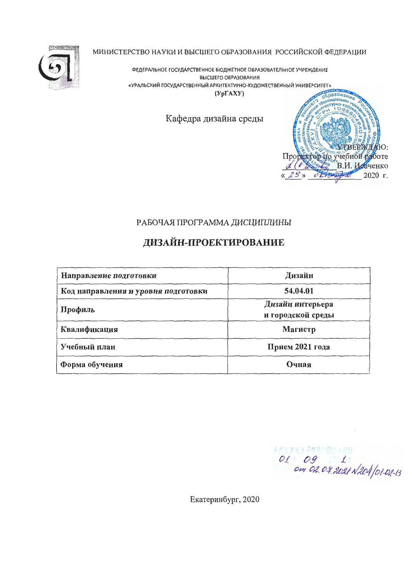

МИНИСТЕРСТВО НАУКИ И ВЫСШЕГО ОБРАЗОВАНИЯ РОССИЙСКОЙ ФЕДЕРАЦИИ

ФЕДЕРАЛЬНОЕ ГОСУДАРСТВЕННОЕ БЮДЖЕТНОЕ ОБРАЗОВАТЕЛЬНОЕ УЧРЕЖДЕНИЕ ВЫСШЕГО ОБРАЗОВАНИЯ «УРАЛЬСКИЙ ГОСУДАРСТВЕННЫЙ АРХИТЕКТУРНО-ХУДОЖЕСТВЕННЫЙ УНИВЕРСИТЕТ»  $(Yp\Gamma A XY)$ 

Кафедра дизайна среды



### РАБОЧАЯ ПРОГРАММА ДИСЦИПЛИНЫ

# ДИЗАЙН-ПРОЕКТИРОВАНИЕ

| Направление подготовки              | Дизайн                                |  |  |  |  |
|-------------------------------------|---------------------------------------|--|--|--|--|
| Код направления и уровня подготовки | 54.04.01                              |  |  |  |  |
| Профиль                             | Дизайн интерьера<br>и городской среды |  |  |  |  |
| Квалификация                        | Магистр                               |  |  |  |  |
| Учебный план                        | Прием 2021 года                       |  |  |  |  |
| Форма обучения                      | Очная                                 |  |  |  |  |

01 09 110<br>01 09 11<br>00 02.04.2021 N204 01-02-13

Екатеринбург, 2020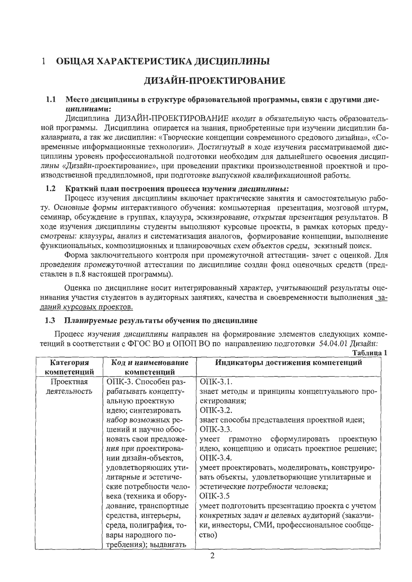#### ОБЩАЯ ХАРАКТЕРИСТИКА ДИСЦИПЛИНЫ  $\mathbf{1}$

# ДИЗАЙН-ПРОЕКТИРОВАНИЕ

#### $1.1$ Место дисциплины в структуре образовательной программы, связи с другими дисциплинами:

Дисциплина ДИЗАЙН-ПРОЕКТИРОВАНИЕ входит в обязательную часть образовательной программы. Дисциплина опирается на знания, приобретенные при изучении дисциплин бакалавриата, а так же дисциплин: «Творческие концепции современного средового дизайна», «Современные информационные технологии». Достигнутый в ходе изучения рассматриваемой дисциплины уровень профессиональной подготовки необходим для дальнейшего освоения дисциплины «Дизайн-проектирование», при проведении практики производственной проектной и производственной преддипломной, при подготовке выпускной квалификационной работы.

#### $1.2$ Краткий план построения процесса изучения дисциплины:

Процесс изучения дисциплины включает практические занятия и самостоятельную работу. Основные формы интерактивного обучения: компьютерная презентация, мозговой штурм, семинар, обсуждение в группах, клаузура, эскизирование, открытая презентация результатов. В ходе изучения дисциплины студенты выполняют курсовые проекты, в рамках которых предусмотрены: клаузуры, анализ и систематизация аналогов, формирование концепции, выполнение функциональных, композиционных и планировочных схем объектов среды, эскизный поиск.

Форма заключительного контроля при промежуточной аттестации-зачет с оценкой. Для проведения промежуточной аттестации по дисциплине создан фонд оценочных средств (представлен в п.8 настоящей программы).

Оценка по дисциплине носит интегрированный характер, учитывающий результаты оценивания участия студентов в аудиторных занятиях, качества и своевременности выполнения заданий курсовых проектов.

#### Планируемые результаты обучения по дисциплине  $1.3$

Процесс изучения дисциплины направлен на формирование элементов следующих компетенций в соответствии с ФГОС ВО и ОПОП ВО по направлению подготовки 54.04.01 Дизайн:

| Категория    | Код и наименование     | Индикаторы достижения компетенций                |
|--------------|------------------------|--------------------------------------------------|
| компетенций  | компетенций            |                                                  |
| Проектная    | ОПК-3. Способен раз-   | OTIK-3.1.                                        |
| деятельность | рабатывать концепту-   | знает методы и принципы концептуального про-     |
|              | альную проектную       | ектирования;                                     |
|              | идею; синтезировать    | OTIK-3.2.                                        |
|              | набор возможных ре-    | знает способы представления проектной идеи;      |
|              | шений и научно обос-   | ОПК-3.3.                                         |
|              | новать свои предложе-  | сформулировать<br>умеет<br>проектную<br>грамотно |
|              | ния при проектирова-   | идею, концепцию и описать проектное решение;     |
|              | нии дизайн-объектов,   | ОПК-3.4.                                         |
|              | удовлетворяющих ути-   | умеет проектировать, моделировать, конструиро-   |
|              | литарные и эстетиче-   | вать объекты, удовлетворяющие утилитарные и      |
|              | ские потребности чело- | эстетические потребности человека;               |
|              | века (техника и обору- | OIIK-3.5                                         |
|              | дование, транспортные  | умеет подготовить презентацию проекта с учетом   |
|              | средства, интерьеры,   | конкретных задач и целевых аудиторий (заказчи-   |
|              | среда, полиграфия, то- | ки, инвесторы, СМИ, профессиональное сообще-     |
|              | вары народного по-     | CTBO)                                            |
|              | требления); выдвигать  |                                                  |

Таблина 1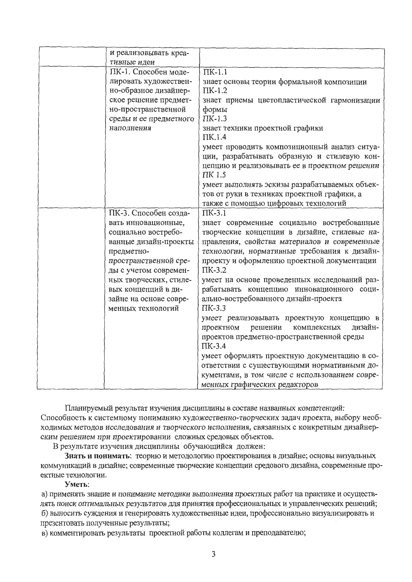| и реализовывать креа-  |                                                |
|------------------------|------------------------------------------------|
| тивные идеи            |                                                |
| ПК-1. Способен моде-   | $\overline{\Pi K-1.1}$                         |
| лировать художествен-  | знает основы теории формальной композиции      |
| но-образное дизайнер-  | $\Pi K-1.2$                                    |
| ское решение предмет-  | знает приемы цветопластической гармонизации    |
| но-пространственной    | формы                                          |
| среды и ее предметного | $\Pi K-1.3$                                    |
| наполнения             | знает техники проектной графики                |
|                        | $\Pi$ K.1.4                                    |
|                        | умеет проводить композиционный анализ ситуа-   |
|                        | ции, разрабатывать образную и стилевую кон-    |
|                        | цепцию и реализовывать ее в проектном решении  |
|                        | ПК 1.5                                         |
|                        | умеет выполнять эскизы разрабатываемых объек-  |
|                        | тов от руки в техниках проектной графики, а    |
|                        | также с помощью цифровых технологий            |
| ПК-3. Способен созда-  | $\Pi K-3.1$                                    |
| вать инновационные,    | знает современные социально востребованные     |
| социально востребо-    | творческие концепции в дизайне, стилевые на-   |
| ванные дизайн-проекты  | правления, свойства материалов и современные   |
| предметно-             | технологии, нормативные требования к дизайн-   |
| пространственной сре-  | проекту и оформлению проектной документации    |
|                        | $\Pi K-3.2$                                    |
| ды с учетом современ-  |                                                |
| ных творческих, стиле- | умеет на основе проведенных исследований раз-  |
| вых концепций в ди-    | рабатывать концепцию инновационного соци-      |
| зайне на основе совре- | ально-востребованного дизайн-проекта           |
| менных технологий      | $\Pi K-3.3$                                    |
|                        | умеет реализовывать проектную концепцию в      |
|                        | проектном<br>решении<br>комплексных<br>дизайн- |
|                        | проектов предметно-пространственной среды      |
|                        | $\Pi K-3.4$                                    |
|                        | умеет оформлять проектную документацию в со-   |
|                        | ответствии с существующими нормативными до-    |
|                        | кументами, в том числе с использованием совре- |
|                        | менных графических редакторов                  |

Планируемый результат изучения дисциплины в составе названных компетенций: Способность к системному пониманию художественно-творческих задач проекта, выбору необходимых методов исследования и творческого исполнения, связанных с конкретным дизайнерским решением при проектировании сложных средовых объектов.

В результате изучения дисциплины обучающийся должен:

Знать и понимать: теорию и методологию проектирования в дизайне; основы визуальных коммуникаций в дизайне; современные творческие концепции средового дизайна, современные проектные технологии.

#### Уметь:

а) применять знание и понимание методики выполнения проектных работ на практике и осуществлять поиск оптимальных результатов для принятия профессиональных и управленческих решений; б) выносить суждения и генерировать художественные идеи, профессионально визуализировать и презентовать полученные результаты;

в) комментировать результаты проектной работы коллегам и преподавателю;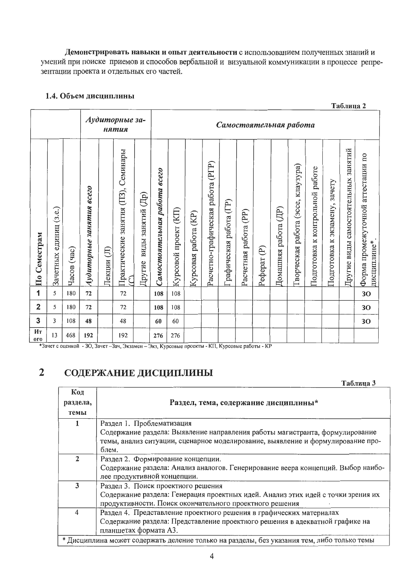Демонстрировать навыки и опыт деятельности с использованием полученных знаний и умений при поиске приемов и способов вербальной и визуальной коммуникации в процессе репрезентации проекта и отдельных его частей.

#### 1.4. Объем дисциплины

|                                 |                              |                |                          |                                          |                                             |                             |                              |                          |                            |                                   |                        |                          |                          |                         |                                             |                                    |                                  | Таблица 2                           |                                                  |
|---------------------------------|------------------------------|----------------|--------------------------|------------------------------------------|---------------------------------------------|-----------------------------|------------------------------|--------------------------|----------------------------|-----------------------------------|------------------------|--------------------------|--------------------------|-------------------------|---------------------------------------------|------------------------------------|----------------------------------|-------------------------------------|--------------------------------------------------|
|                                 |                              |                |                          |                                          | Аудиторные за-<br>нятия                     |                             |                              |                          |                            |                                   |                        |                          | Самостоятельная работа   |                         |                                             |                                    |                                  |                                     |                                                  |
| Семестрам<br>$\overline{\Pi}$ 0 | (3.e.)<br>единиц<br>Зачетных | (Tac)<br>Часов | Аудиторные занятия всего | $\textcircled{\scriptsize{1}}$<br>Лекции | занятия (ПЗ), Семинары<br>Практические<br>G | виды занятий (Др)<br>Другие | Самостоятельная работа всего | (KII)<br>Курсовой проект | (KP)<br>работа<br>Курсовая | Расчетно-графическая работа (РГР) | рафическая работа (ГР) | (PP)<br>Расчетная работа | $\widehat{e}$<br>Pedepar | работа (ДР)<br>Домашняя | клаузура)<br>(acce,<br>работа<br>Гворческая | работе<br>Подготовка к контрольной | зачету<br>Подготовка к экзамену, | Другие виды самостоятельных занятий | Форма промежуточной агтестации по<br>дисциплине* |
| 1                               | 5                            | 180            | 72                       |                                          | 72                                          |                             | 108                          | 108                      |                            |                                   |                        |                          |                          |                         |                                             |                                    |                                  |                                     | 30                                               |
| $\overline{2}$                  | 5                            | 180            | 72                       |                                          | 72                                          |                             | 108                          | 108                      |                            |                                   |                        |                          |                          |                         |                                             |                                    |                                  |                                     | 30                                               |
| 3                               | 3                            | 108            | 48                       |                                          | 48                                          |                             | 60                           | 60                       |                            |                                   |                        |                          |                          |                         |                                             |                                    |                                  |                                     | 30                                               |
| Ит<br><b>OTO</b>                | 13                           | 468            | 192                      |                                          | 192                                         |                             | 276                          | 276                      |                            |                                   |                        |                          |                          |                         |                                             |                                    |                                  |                                     |                                                  |

#### СОДЕРЖАНИЕ ДИСЦИПЛИНЫ  $\overline{2}$

| Таблица 3 |  |
|-----------|--|
|-----------|--|

| Код            |                                                                                            |
|----------------|--------------------------------------------------------------------------------------------|
| раздела,       | Раздел, тема, содержание дисциплины*                                                       |
| темы           |                                                                                            |
|                | Раздел 1. Проблематизация                                                                  |
|                | Содержание раздела: Выявление направления работы магистранта, формулирование               |
|                | темы, анализ ситуации, сценарное моделирование, выявление и формулирование про-            |
|                | блем.                                                                                      |
| 2              | Раздел 2. Формирование концепции.                                                          |
|                | Содержание раздела: Анализ аналогов. Генерирование веера концепций. Выбор наибо-           |
|                | лее продуктивной концепции.                                                                |
| 3              | Раздел 3. Поиск проектного решения                                                         |
|                | Содержание раздела: Генерация проектных идей. Анализ этих идей с точки зрения их           |
|                | продуктивности. Поиск окончательного проектного решения                                    |
| $\overline{4}$ | Раздел 4. Представление проектного решения в графических материалах                        |
|                | Содержание раздела: Представление проектного решения в адекватной графике на               |
|                | планшетах формата АЗ.                                                                      |
|                | * Дисциплина может содержать деление только на разделы, без указания тем, либо только темы |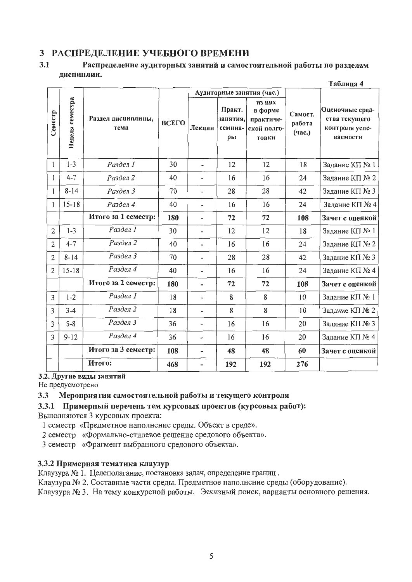### 3 РАСПРЕДЕЛЕНИЕ УЧЕБНОГО ВРЕМЕНИ

#### $3.1$ Распределение аудиторных занятий и самостоятельной работы по разделам дисциплин.  $ToG$

|                |                 |                            |       |                          |                                     |                                                               |                             | т пинца н                                                      |
|----------------|-----------------|----------------------------|-------|--------------------------|-------------------------------------|---------------------------------------------------------------|-----------------------------|----------------------------------------------------------------|
|                |                 |                            |       |                          |                                     | Аудиторные занятия (час.)                                     |                             |                                                                |
| Семестр        | Неделя семестра | Раздел дисциплины,<br>тема | ВСЕГО | Лекции                   | Практ.<br>занятия,<br>семина-<br>pы | из них<br>в форме<br>практиче-<br>ской подго-<br><b>ТОВКИ</b> | Самост.<br>работа<br>(час.) | Оценочные сред-<br>ства текущего<br>контроля успе-<br>ваемости |
| 1              | $1 - 3$         | Раздел 1                   | 30    | $\overline{a}$           | 12                                  | 12                                                            | 18                          | Задание КП № 1                                                 |
| 1              | $4 - 7$         | Раздел 2                   | 40    | $\overline{a}$           | 16                                  | 16                                                            | 24                          | Задание КП № 2                                                 |
| 1              | $8 - 14$        | Раздел 3                   | 70    | ٠                        | 28                                  | 28                                                            | 42                          | Задание КП № 3                                                 |
| 1              | $15 - 18$       | Раздел 4                   | 40    | $\overline{a}$           | 16                                  | 16                                                            | 24                          | Задание КП № 4                                                 |
|                |                 | Итого за 1 семестр:        | 180   | L,                       | 72                                  | 72                                                            | 108                         | Зачет с оценкой                                                |
| $\overline{2}$ | $1 - 3$         | Раздел 1                   | 30    | $\overline{\phantom{0}}$ | 12                                  | 12                                                            | 18                          | Задание КП № 1                                                 |
| $\overline{2}$ | $4 - 7$         | Раздел 2                   | 40    | ۰.                       | 16                                  | 16                                                            | 24                          | Задание КП № 2                                                 |
| $\overline{c}$ | $8 - 14$        | Раздел 3                   | 70    | $\overline{a}$           | 28                                  | 28                                                            | 42                          | Задание КП № 3                                                 |
| $\overline{2}$ | $15 - 18$       | Раздел 4                   | 40    | $\overline{a}$           | 16                                  | 16                                                            | 24                          | Задание КП № 4                                                 |
|                |                 | Итого за 2 семестр:        | 180   |                          | 72                                  | 72                                                            | 108                         | Зачет с оценкой                                                |
| 3              | $1 - 2$         | Раздел 1                   | 18    | $\overline{a}$           | 8                                   | 8                                                             | 10                          | Задание КП № 1                                                 |
| 3              | $3 - 4$         | Раздел 2                   | 18    | ÷                        | 8                                   | 8                                                             | 10                          | Задание КП № 2                                                 |
| 3              | $5 - 8$         | Раздел 3                   | 36    | $\overline{\phantom{0}}$ | 16                                  | 16                                                            | 20                          | Задание КП № 3                                                 |
| 3              | $9 - 12$        | Раздел 4                   | 36    | $\overline{\phantom{a}}$ | 16                                  | 16                                                            | 20                          | Задание КП № 4                                                 |
|                |                 | Итого за 3 семестр:        | 108   | $\overline{\phantom{0}}$ | 48                                  | 48                                                            | 60                          | Зачет с оценкой                                                |
|                |                 | Итого:                     | 468   |                          | 192                                 | 192                                                           | 276                         |                                                                |

3.2. Другие виды занятий

Не предусмотрено

#### Мероприятия самостоятельной работы и текущего контроля  $3.3$

#### 3.3.1 Примерный перечень тем курсовых проектов (курсовых работ):

Выполняются 3 курсовых проекта:

- 1 семестр «Предметное наполнение среды. Объект в среде».
- 2 семестр «Формально-стилевое решение средового объекта».
- 3 семестр «Фрагмент выбранного средового объекта».

#### 3.3.2 Примерная тематика клаузур

Клаузура № 1. Целеполагание, постановка задач, определение границ.

Клаузура № 2. Составные части среды. Предметное наполнение среды (оборудование).

Клаузура № 3. На тему конкурсной работы. Эскизный поиск, варианты основного решения.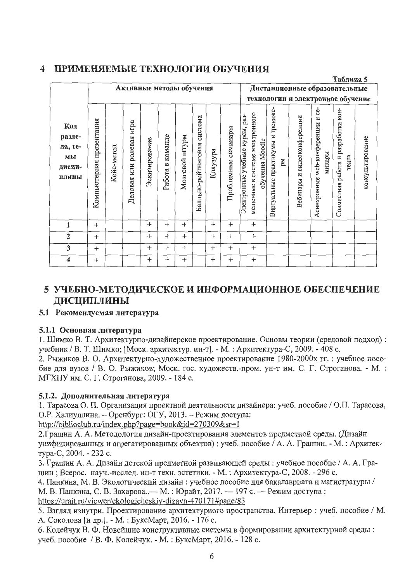#### $\overline{\mathbf{4}}$ ПРИМЕНЯЕМЫЕ ТЕХНОЛОГИИ ОБУЧЕНИЯ

|                                                   |                             |            |                                |                          |                        |                     |                                |          |                        |                                                                                                          |                                         |                                |                                                | Таблица 5                                    |                  |
|---------------------------------------------------|-----------------------------|------------|--------------------------------|--------------------------|------------------------|---------------------|--------------------------------|----------|------------------------|----------------------------------------------------------------------------------------------------------|-----------------------------------------|--------------------------------|------------------------------------------------|----------------------------------------------|------------------|
|                                                   |                             |            |                                | Активные методы обучения |                        |                     |                                |          |                        |                                                                                                          |                                         |                                | Дистанционные образовательные                  |                                              |                  |
|                                                   |                             |            |                                |                          |                        |                     |                                |          |                        | технологии и электронное обучение                                                                        |                                         |                                |                                                |                                              |                  |
| Код<br>разде-<br>ла, те-<br>мы<br>дисци-<br>плины | презентация<br>Компьютерная | Кейс-метод | игра<br>ролевая<br>Деловая или | Эскизирование            | команде<br>B<br>Работа | MdALIII<br>Мозговой | система<br>Балльно-рейтинговая | Клаузура | семинары<br>Проблемные | мещенные в системе электронного<br>pa <sub>3</sub> -<br>курсы,<br>обучения Moodle<br>Электронные учебные | Виртуальные практикумы и тренаже-<br>ры | видеоконференции<br>Вебинары и | ċe-<br>Асинхронные web-конференции и<br>минары | Совместная работа и разработка кон-<br>тента | консультирование |
| 1                                                 | $^{+}$                      |            |                                | $^{+}$                   | $^{+}$                 | $^{+}$              |                                | $^{+}$   | $^{+}$                 | $^{+}$                                                                                                   |                                         |                                |                                                |                                              |                  |
| $\overline{2}$                                    | $^{+}$                      |            |                                | $\ddot{}$                | $^{+}$                 | $^{+}$              |                                | $^{+}$   | $^{+}$                 | $^{+}$                                                                                                   |                                         |                                |                                                |                                              |                  |
| 3                                                 | $+$                         |            |                                | $^{+}$                   | $^{+}$                 | $^{+}$              |                                | $^{+}$   | $^{+}$                 | $^{+}$                                                                                                   |                                         |                                |                                                |                                              |                  |
| 4                                                 | $^{+}$                      |            |                                | $^{+}$                   | $^{+}$                 | $+$                 |                                | $^{+}$   | $^{+}$                 | $^{+}$                                                                                                   |                                         |                                |                                                |                                              |                  |

## 5 УЧЕБНО-МЕТОДИЧЕСКОЕ И ИНФОРМАЦИОННОЕ ОБЕСПЕЧЕНИЕ ДИСЦИПЛИНЫ

### 5.1 Рекомендуемая литература

#### 5.1.1 Основная литература

1. Шимко В. Т. Архитектурно-дизайнерское проектирование. Основы теории (средовой подход): учебник / В. Т. Шимко; [Моск. архитектур. ин-т]. - М. : Архитектура-С, 2009. - 408 с.

2. Рыжиков В. О. Архитектурно-художественное проектирование 1980-2000х гг. : учебное пособие для вузов / В. О. Рыжиков; Моск. гос. художеств.-пром. ун-т им. С. Г. Строганова. - М.: МГХПУ им. С. Г. Строганова, 2009. - 184 с.

### 5.1.2. Дополнительная литература

1. Тарасова О. П. Организация проектной деятельности дизайнера: учеб. пособие / О.П. Тарасова, О.Р. Халиуллина. - Оренбург: ОГУ, 2013. - Режим доступа:

http://biblioclub.ru/index.php?page=book&id=270309&sr=1

2. Грашин А. А. Методология дизайн-проектирования элементов предметной среды. (Дизайн унифицированных и агрегатированных объектов): учеб. пособие / А. А. Грашин. - М.: Архитектура-С, 2004. - 232 с.

3. Грашин А. А. Дизайн детской предметной развивающей среды: учебное пособие / А. А. Грашин; Всерос. науч.-исслед. ин-т техн. эстетики. - М.: Архитектура-С, 2008. - 296 с.

4. Панкина, М. В. Экологический дизайн: учебное пособие для бакалавриата и магистратуры /

М. В. Панкина, С. В. Захарова.. - М.: Юрайт, 2017. - 197 с. - Режим доступа: https://urait.ru/viewer/ekologicheskiy-dizayn-470171#page/83

5. Взгляд изнутри. Проектирование архитектурного пространства. Интерьер: учеб. пособие / М. А. Соколова [и др.]. - М. : БуксМарт, 2016. - 176 с.

6. Колейчук В. Ф. Новейшие конструктивные системы в формировании архитектурной среды: учеб. пособие / В. Ф. Колейчук. - М.: БуксМарт, 2016. - 128 с.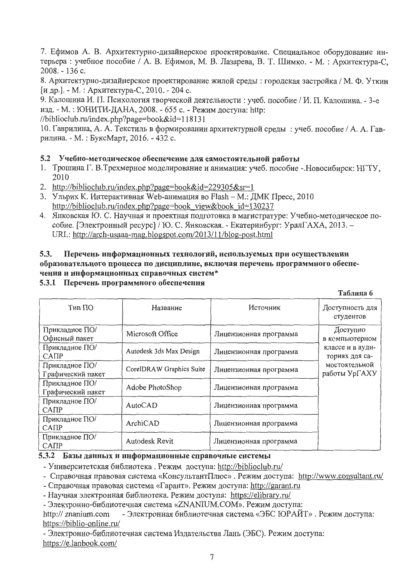7. Ефимов А. В. Архитектурно-дизайнерское проектирование. Специальное оборудование интерьера : учебное пособие / А. В. Ефимов, М. В. Лазарева, В. Т. Шимко. - М. : Архитектура-С, 2008. - 136 c.

8. Архитектурно-дизайнерское проектирование жилой среды: городская застройка / М. Ф. Уткин [и др.]. - М. : Архитектура-С, 2010. - 204 с.

9. Калошина И. П. Психология творческой деятельности: учеб. пособие / И. П. Калошина. - 3-е изд. - М. : ЮНИТИ-ДАНА, 2008. - 655 с. - Режим доступа: http:

//biblioclub.ru/index. php?page=book&id= 118131

10. Гаврилина, А. А. Текстиль в формировании архитектурной среды: учеб. пособие / А. А. Гаврилина. - М. : БуксМарт, 2016. - 432 с.

#### 5.2 Учебно-методическое обеспечение для самостоятельной работы

- 1. Трошина Г. В.Трехмерное моделирование и анимация: учеб. пособие -. Новосибирск: НГТУ, 2010
- 2. http://biblioclub.ru/index.php?page=book&id=229305&sr=1
- 3. Ульрих К. Интерактивная Web-анимация во Flash М.: ДМК Пресс, 2010 http://biblioclub.ru/index.php?page=book view&book id=130237
- 4. Янковская Ю. С. Научная и проектная подготовка в магистратуре: Учебно-методическое пособие. [Электронный ресурс] / Ю. С. Янковская. - Екатеринбург: УралГАХА, 2013. -URL: http://arch-usaaa-mag.blogspot.com/2013/11/blog-post.html

#### 5.3. Перечень информационных технологий, используемых при осуществлении образовательного процесса по дисциплине, включая перечень программного обеспечения и информационных справочных систем\*

### 5.3.1 Перечень программного обеспечения

**Таблица** 6

| Тип ПО                              | Название                 | Источник               | Доступность для<br>студентов       |
|-------------------------------------|--------------------------|------------------------|------------------------------------|
| Прикладное ПО/<br>Офисный пакет     | Microsoft Office         | Лицензионная программа | Доступно<br>в компьютерном         |
| Прикладное ПО/<br>CATIP             | Autodesk 3ds Max Design  | Лицензионная программа | классе и в ауди-<br>ториях для са- |
| Прикладное ПО/<br>Графический пакет | CorelDRAW Graphics Suite | Лицензионная программа | мостоятельной<br>работы УрГАХУ     |
| Прикладное ПО/<br>Графический пакет | Adobe PhotoShop          | Лицензионная программа |                                    |
| Прикладное ПО/<br>CATIP             | AutoCAD                  | Лицензионная программа |                                    |
| Прикладное ПО/<br>CATIP             | ArchiCAD                 | Лицензионная программа |                                    |
| Прикладное ПО/<br>CATIP             | Autodesk Revit           | Лицензионная программа |                                    |

#### 5.3.2 Базы данных и информационные справочные системы

- Университетская библиотека. Режим доступа: http://biblioclub.ru/

- Справочная правовая система «КонсультантПлюс». Режим доступа: http://www.consultant.ru/

- Справочная правовая система «Гарант». Режим доступа: http://garant.ru

- Научная электронная библиотека. Режим доступа: https://elibrary.ru/

- Электронно-библиотечная система «ZNANIUM.COM». Режим доступа:

http://znanium.com - Электронная библиотечная система «ЭБС ЮРАЙТ». Режим доступа: https://biblio-online.ru/

- Электронно-библиотечная система Издательства Лань (ЭБС). Режим доступа: https://e.lanbook.com/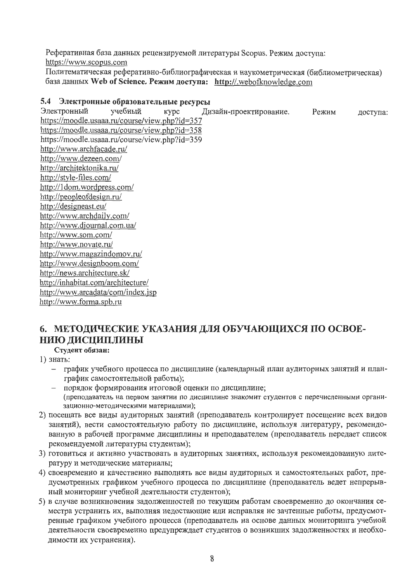Реферативная база данных рецензируемой литературы Scopus. Режим доступа: https://www.scopus.com

Политематическая реферативно-библиографическая и наукометрическая (библиометрическая) база данных Web of Science. Режим доступа: http://.webofknowledge.com

### 5.4 Электронные образовательные ресурсы

учебный Электронный Kypc Дизайн-проектирование. Режим доступа: https://moodle.usaaa.ru/course/view.php?id=357 https://moodle.usaaa.ru/course/view.php?id=358 https://moodle.usaaa.ru/course/view.php?id=359 http://www.archfacade.ru/ http://www.dezeen.com/ http://architektonika.ru/ http://style-files.com/ http://1dom.wordpress.com/ http://peopleofdesign.ru/ http://designeast.eu/ http://www.archdaily.com/ http://www.djournal.com.ua/ http://www.som.com/ http://www.novate.ru/ http://www.magazindomov.ru/ http://www.designboom.com/ http://news.architecture.sk/ http://inhabitat.com/architecture/ http://www.arcadata/com/index.jsp http://www.forma.spb.ru

# 6. МЕТОДИЧЕСКИЕ УКАЗАНИЯ ДЛЯ ОБУЧАЮЩИХСЯ ПО ОСВОЕ-НИЮ ДИСЦИПЛИНЫ

Студент обязан:

- 1) знать:
	- график учебного процесса по дисциплине (календарный план аудиторных занятий и план- $\,$ график самостоятельной работы);
	- порядок формирования итоговой оценки по дисциплине; (преподаватель на первом занятии по дисциплине знакомит студентов с перечисленными организационно-методическими материалами);
- 2) посещать все виды аудиторных занятий (преподаватель контролирует посещение всех видов занятий), вести самостоятельную работу по дисциплине, используя литературу, рекомендованную в рабочей программе дисциплины и преподавателем (преподаватель передает список рекомендуемой литературы студентам);
- 3) готовиться и активно участвовать в аудиторных занятиях, используя рекомендованную литературу и методические материалы;
- 4) своевременно и качественно выполнять все виды аудиторных и самостоятельных работ, предусмотренных графиком учебного процесса по дисциплине (преподаватель ведет непрерывный мониторинг учебной деятельности студентов);
- 5) в случае возникновения задолженностей по текущим работам своевременно до окончания семестра устранить их, выполняя недостающие или исправляя не зачтенные работы, предусмотренные графиком учебного процесса (преподаватель на основе данных мониторинга учебной деятельности своевременно предупреждает студентов о возникших задолженностях и необходимости их устранения).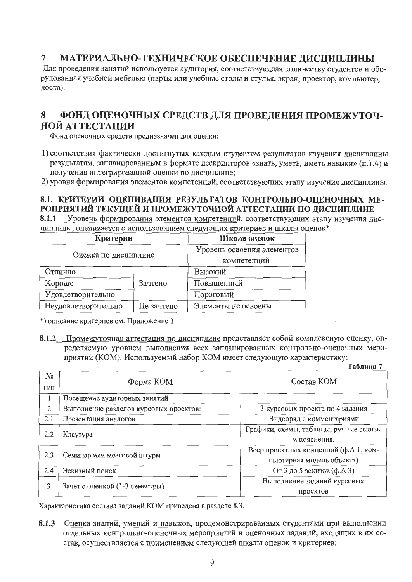#### $\overline{7}$ МАТЕРИАЛЬНО-ТЕХНИЧЕСКОЕ ОБЕСПЕЧЕНИЕ ДИСЦИПЛИНЫ

Для проведения занятий используется аудитория, соответствующая количеству студентов и оборудованная учебной мебелью (парты или учебные столы и стулья, экран, проектор, компьютер, доска).

#### 8 ФОНД ОЦЕНОЧНЫХ СРЕДСТВ ДЛЯ ПРОВЕДЕНИЯ ПРОМЕЖУТОЧ-НОЙ АТТЕСТАНИИ

Фонд оценочных средств предназначен для оценки:

1) соответствия фактически достигнутых каждым студентом результатов изучения дисциплины результатам, запланированным в формате дескрипторов «знать, уметь, иметь навыки» (п.1.4) и получения интегрированной оценки по дисциплине;

2) уровня формирования элементов компетенций, соответствующих этапу изучения дисциплины.

### 8.1. КРИТЕРИИ ОЦЕНИВАНИЯ РЕЗУЛЬТАТОВ КОНТРОЛЬНО-ОЦЕНОЧНЫХ МЕ-РОПРИЯТИЙ ТЕКУЩЕЙ И ПРОМЕЖУТОЧНОЙ АТТЕСТАЦИИ ПО ДИСЦИПЛИНЕ

8.1.1 Уровень формирования элементов компетенций, соответствующих этапу изучения дисциплины, оценивается с использованием следующих критериев и шкалы оценок\*

| Критерии                          | Шкала оценок               |                     |  |  |
|-----------------------------------|----------------------------|---------------------|--|--|
| Оценка по дисциплине              | Уровень освоения элементов |                     |  |  |
|                                   | компетенций                |                     |  |  |
| Отлично                           |                            | Высокий             |  |  |
| Хорошо                            | Зачтено                    | Повышенный          |  |  |
| Удовлетворительно                 |                            | Пороговый           |  |  |
| Не зачтено<br>Неудовлетворительно |                            | Элементы не освоены |  |  |

\*) описание критериев см. Приложение 1.

8.1.2 Промежуточная аттестация по дисциплине представляет собой комплексную оценку, определяемую уровнем выполнения всех запланированных контрольно-оценочных мероприятий (КОМ). Используемый набор КОМ имеет следующую характеристику:

Таблина 7

| No<br>$\Pi/\Pi$ | Форма КОМ                              | Состав КОМ                             |  |  |  |  |  |
|-----------------|----------------------------------------|----------------------------------------|--|--|--|--|--|
|                 |                                        |                                        |  |  |  |  |  |
|                 | Посещение аудиторных занятий           |                                        |  |  |  |  |  |
| $\overline{2}$  | Выполнение разделов курсовых проектов: | 3 курсовых проекта по 4 задания        |  |  |  |  |  |
| 2.1             | Презентация аналогов                   | Видеоряд с комментариями               |  |  |  |  |  |
|                 |                                        | Графики, схемы, таблицы, ручные эскизы |  |  |  |  |  |
| 2.2             | Клаузура                               | и пояснения.                           |  |  |  |  |  |
|                 |                                        | Веер проектных концепций (ф.А 1, ком-  |  |  |  |  |  |
| 2.3             | Семинар или мозговой штурм             | пьютерная модель объекта)              |  |  |  |  |  |
| 2.4             | Эскизный поиск                         | От 3 до 5 эскизов (ф.А 3)              |  |  |  |  |  |
| 3               |                                        | Выполнение заданий курсовых            |  |  |  |  |  |
|                 | Зачет с оценкой (1-3 семестры)         | проектов                               |  |  |  |  |  |

Характеристика состава заданий КОМ приведена в разделе 8.3.

8.1.3 Оценка знаний, умений и навыков, продемонстрированных студентами при выполнении отдельных контрольно-оценочных мероприятий и оценочных заданий, входящих в их состав, осуществляется с применением следующей шкалы оценок и критериев: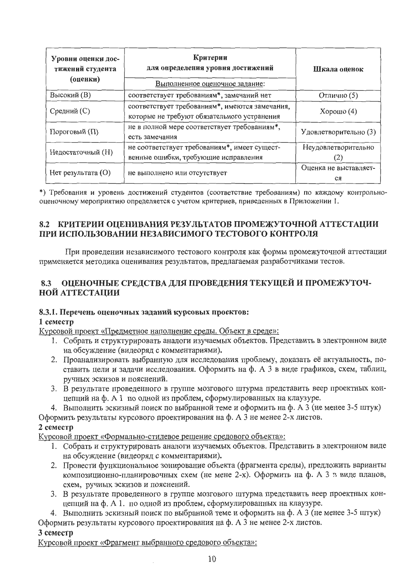| Уровни оценки дос-<br>тижений студента<br>(оценки) | Критерии<br>для определения уровня достижений<br>Выполненное оценочное задание:               | Шкала оценок                |
|----------------------------------------------------|-----------------------------------------------------------------------------------------------|-----------------------------|
| Высокий (В)                                        | соответствует требованиям*, замечаний нет                                                     | Отлично (5)                 |
| Средний (С)                                        | соответствует требованиям*, имеются замечания,<br>которые не требуют обязательного устранения | Хорошо $(4)$                |
| Пороговый (П)                                      | не в полной мере соответствует требованиям*,<br>есть замечания                                | Удовлетворительно (3)       |
| Недостаточный (Н)                                  | не соответствует требованиям*, имеет сущест-<br>венные ошибки, требующие исправления          | Неудовлетворительно         |
| $Her$ результата $(O)$                             | не выполнено или отсутствует                                                                  | Оценка не выставляет-<br>CЯ |

\*) Требования и уровень достижений студентов (соответствие требованиям) по каждому контрольнооценочному мероприятию определяется с учетом критериев, приведенных в Приложении 1.

### 8.2 КРИТЕРИИ ОЦЕНИВАНИЯ РЕЗУЛЬТАТОВ ПРОМЕЖУТОЧНОЙ АТТЕСТАЦИИ ПРИ ИСПОЛЬЗОВАНИИ НЕЗАВИСИМОГО ТЕСТОВОГО КОНТРОЛЯ

При проведении независимого тестового контроля как формы промежуточной аттестации применяется методика оценивания результатов, предлагаемая разработчиками тестов.

#### ОЦЕНОЧНЫЕ СРЕДСТВА ДЛЯ ПРОВЕДЕНИЯ ТЕКУЩЕЙ И ПРОМЕЖУТОЧ-8.3 НОЙ АТТЕСТАЦИИ

#### 8.3.1. Перечень оценочных заданий курсовых проектов:

#### $1$  семестр

Курсовой проект «Предметное наполнение среды. Объект в среде»:

- 1. Собрать и структурировать аналоги изучаемых объектов. Представить в электронном виде на обсуждение (видеоряд с комментариями).
- 2. Проанализировать выбранную для исследования проблему, доказать её актуальность, поставить цели и задачи исследования. Оформить на ф. А 3 в виде графиков, схем, таблиц, ручных эскизов и пояснений.
- 3. В результате проведенного в группе мозгового штурма представить веер проектных концепций на ф. А 1 по одной из проблем, сформулированных на клаузуре.
- 4. Выполнить эскизный поиск по выбранной теме и оформить на ф. А 3 (не менее 3-5 штук)

Оформить результаты курсового проектирования на ф. А 3 не менее 2-х листов.

#### 2 семестр

Курсовой проект «Формально-стилевое решение средового объекта»:

- 1. Собрать и структурировать аналоги изучаемых объектов. Представить в электронном виде на обсуждение (видеоряд с комментариями).
- 2. Провести функциональное зонирование объекта (фрагмента среды), предложить варианты композиционно-планировочных схем (не мене 2-х). Оформить на ф. А 3 в виде планов, схем, ручных эскизов и пояснений.
- 3. В результате проведенного в группе мозгового штурма представить веер проектных концепций на ф. А 1. по одной из проблем, сформулированных на клаузуре.
- 4. Выполнить эскизный поиск по выбранной теме и оформить на ф. А 3 (не менее 3-5 штук) Оформить результаты курсового проектирования на ф. А 3 не менее 2-х листов.

#### 3 семестр

Курсовой проект «Фрагмент выбранного средового объекта»: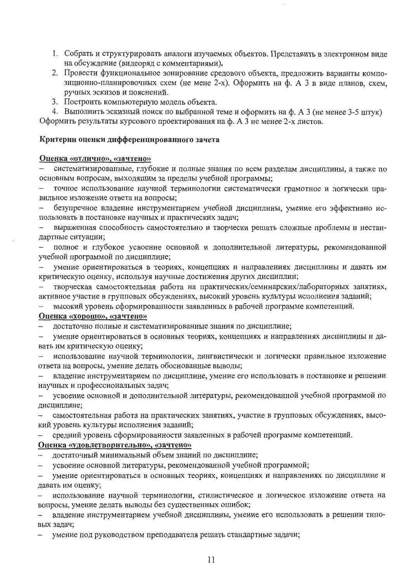- 1. Собрать и структурировать аналоги изучаемых объектов. Представить в электронном виде на обсуждение (видеоряд с комментариями).
- 2. Провести функциональное зонирование средового объекта, предложить варианты композиционно-планировочных схем (не мене 2-х). Оформить на ф. А 3 в виде планов, схем, ручных эскизов и пояснений.
- 3. Построить компьютерную модель объекта.

4. Выполнить эскизный поиск по выбранной теме и оформить на ф. А 3 (не менее 3-5 штук) Оформить результаты курсового проектирования на ф. А 3 не менее 2-х листов.

#### Критерии оценки дифференцированного зачета

#### Оценка «отлично», «зачтено»

систематизированные, глубокие и полные знания по всем разделам дисциплины, а также по  $\overline{\phantom{0}}$ основным вопросам, выходящим за пределы учебной программы;

точное использование научной терминологии систематически грамотное и логически пра- $\overline{\phantom{0}}$ вильное изложение ответа на вопросы;

безупречное владение инструментарием учебной дисциплины, умение его эффективно использовать в постановке научных и практических задач;

выраженная способность самостоятельно и творчески решать сложные проблемы и нестандартные ситуации;

полное и глубокое усвоение основной и дополнительной литературы, рекомендованной учебной программой по дисциплине;

умение ориентироваться в теориях, концепциях и направлениях дисциплины и давать им критическую оценку, используя научные достижения других дисциплин;

творческая самостоятельная работа на практических/семинарских/лабораторных занятиях, активное участие в групповых обсуждениях, высокий уровень культуры исполнения заданий;

высокий уровень сформированности заявленных в рабочей программе компетенций.

#### Оценка «хорошо», «зачтено»

достаточно полные и систематизированные знания по дисциплине;

умение ориентироваться в основных теориях, концепциях и направлениях дисциплины и да- $\overline{\phantom{m}}$ вать им критическую оценку;

использование научной терминологии, лингвистически и логически правильное изложение ответа на вопросы, умение делать обоснованные выводы;

владение инструментарием по дисциплине, умение его использовать в постановке и решении научных и профессиональных задач;

усвоение основной и дополнительной литературы, рекомендованной учебной программой по дисциплине;

самостоятельная работа на практических занятиях, участие в групповых обсуждениях, высокий уровень культуры исполнения заданий;

средний уровень сформированности заявленных в рабочей программе компетенций.

#### Оценка «удовлетворительно», «зачтено»

- достаточный минимальный объем знаний по дисциплине;
- усвоение основной литературы, рекомендованной учебной программой;

 $\overline{\phantom{0}}$ умение ориентироваться в основных теориях, концепциях и направлениях по дисциплине и давать им оценку;

использование научной терминологии, стилистическое и логическое изложение ответа на вопросы, умение делать выводы без существенных ошибок;

владение инструментарием учебной дисциплины, умение его использовать в решении типовых задач;

умение под руководством преподавателя решать стандартные задачи;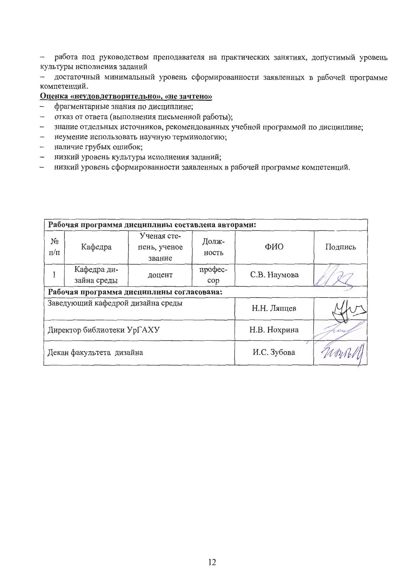работа под руководством преподавателя на практических занятиях, допустимый уровень  $\frac{1}{2}$ культуры исполнения заданий

достаточный минимальный уровень сформированности заявленных в рабочей программе  $\overline{\phantom{0}}$ компетенций.

#### Оценка «неудовлетворительно», «не зачтено»

- фрагментарные знания по дисциплине;  $\,$
- отказ от ответа (выполнения письменной работы);  $\overline{\phantom{0}}$
- знание отдельных источников, рекомендованных учебной программой по дисциплине;  $-$
- неумение использовать научную терминологию;  $\frac{1}{2}$
- наличие грубых ошибок;
- низкий уровень культуры исполнения заданий;  $-$
- низкий уровень сформированности заявленных в рабочей программе компетенций.  $\equiv$

| Рабочая программа дисциплины составлена авторами: |                                   |                                       |                |              |         |  |  |  |  |
|---------------------------------------------------|-----------------------------------|---------------------------------------|----------------|--------------|---------|--|--|--|--|
| No<br>$\pi/\pi$                                   | Кафедра                           | Ученая сте-<br>пень, ученое<br>звание | Долж-<br>ность | ФИО          | Подпись |  |  |  |  |
|                                                   | Кафедра ди-<br>зайна среды        | доцент                                | профес-<br>cop | С.В. Наумова |         |  |  |  |  |
| Рабочая программа дисциплины согласована:         |                                   |                                       |                |              |         |  |  |  |  |
|                                                   | Заведующий кафедрой дизайна среды |                                       | Н.Н. Ляпцев    |              |         |  |  |  |  |
| Директор библиотеки УрГАХУ                        |                                   |                                       |                | Н.В. Нохрина |         |  |  |  |  |
|                                                   | Декан факультета дизайна          |                                       | И.С. Зубова    |              |         |  |  |  |  |